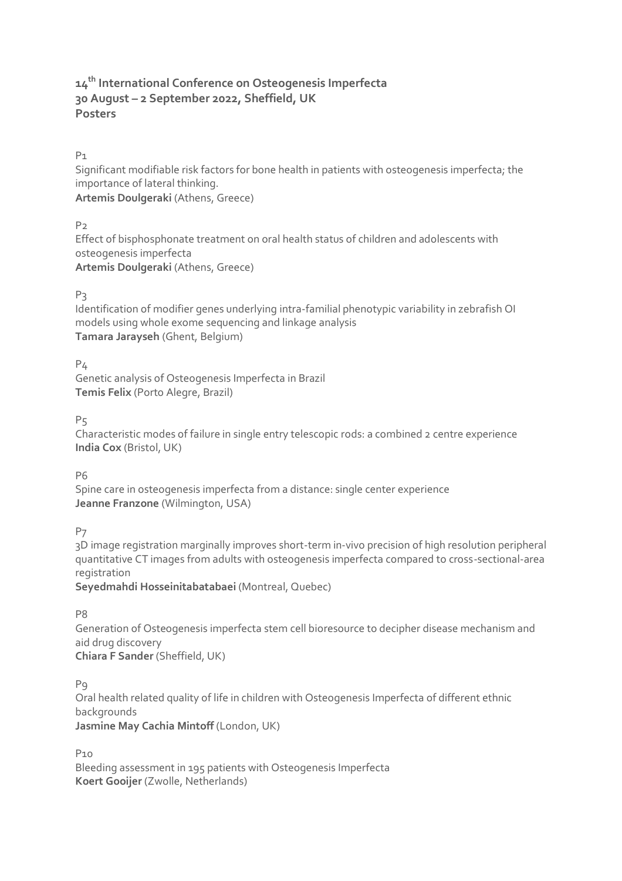# **14th International Conference on Osteogenesis Imperfecta 30 August – 2 September 2022, Sheffield, UK Posters**

# P1

Significant modifiable risk factors for bone health in patients with osteogenesis imperfecta; the importance of lateral thinking.

**Artemis Doulgeraki** (Athens, Greece)

# $P<sub>2</sub>$

Effect of bisphosphonate treatment on oral health status of children and adolescents with osteogenesis imperfecta **Artemis Doulgeraki** (Athens, Greece)

# P3

Identification of modifier genes underlying intra-familial phenotypic variability in zebrafish OI models using whole exome sequencing and linkage analysis **Tamara Jarayseh** (Ghent, Belgium)

 $P<sub>4</sub>$ 

Genetic analysis of Osteogenesis Imperfecta in Brazil **Temis Felix** (Porto Alegre, Brazil)

 $P<sub>5</sub>$ 

Characteristic modes of failure in single entry telescopic rods: a combined 2 centre experience **India Cox** (Bristol, UK)

P6

Spine care in osteogenesis imperfecta from a distance: single center experience **Jeanne Franzone** (Wilmington, USA)

P7

3D image registration marginally improves short-term in-vivo precision of high resolution peripheral quantitative CT images from adults with osteogenesis imperfecta compared to cross-sectional-area registration

**Seyedmahdi Hosseinitabatabaei** (Montreal, Quebec)

P8

Generation of Osteogenesis imperfecta stem cell bioresource to decipher disease mechanism and aid drug discovery **Chiara F Sander** (Sheffield, UK)

P9

Oral health related quality of life in children with Osteogenesis Imperfecta of different ethnic backgrounds **Jasmine May Cachia Mintoff** (London, UK)

P10

Bleeding assessment in 195 patients with Osteogenesis Imperfecta **Koert Gooijer** (Zwolle, Netherlands)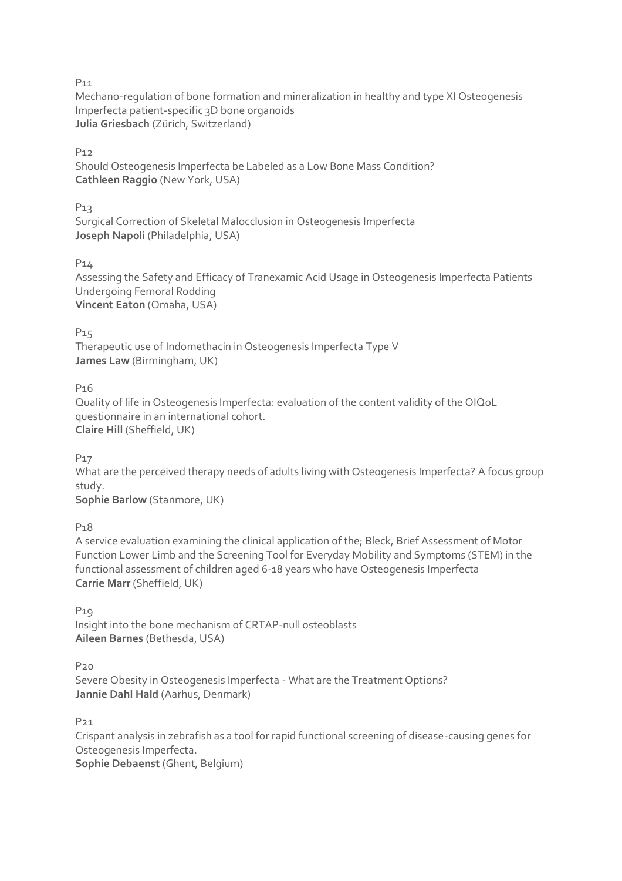Mechano-regulation of bone formation and mineralization in healthy and type XI Osteogenesis Imperfecta patient-specific 3D bone organoids **Julia Griesbach** (Zürich, Switzerland)

P12

Should Osteogenesis Imperfecta be Labeled as a Low Bone Mass Condition? **Cathleen Raggio** (New York, USA)

### P13

Surgical Correction of Skeletal Malocclusion in Osteogenesis Imperfecta **Joseph Napoli** (Philadelphia, USA)

#### P14

Assessing the Safety and Efficacy of Tranexamic Acid Usage in Osteogenesis Imperfecta Patients Undergoing Femoral Rodding **Vincent Eaton** (Omaha, USA)

P<sub>15</sub>

Therapeutic use of Indomethacin in Osteogenesis Imperfecta Type V **James Law** (Birmingham, UK)

# P16

Quality of life in Osteogenesis Imperfecta: evaluation of the content validity of the OIQoL questionnaire in an international cohort. **Claire Hill** (Sheffield, UK)

P17

What are the perceived therapy needs of adults living with Osteogenesis Imperfecta? A focus group study.

**Sophie Barlow** (Stanmore, UK)

P18

A service evaluation examining the clinical application of the; Bleck, Brief Assessment of Motor Function Lower Limb and the Screening Tool for Everyday Mobility and Symptoms (STEM) in the functional assessment of children aged 6-18 years who have Osteogenesis Imperfecta **Carrie Marr** (Sheffield, UK)

P19 Insight into the bone mechanism of CRTAP-null osteoblasts **Aileen Barnes** (Bethesda, USA)

P20

Severe Obesity in Osteogenesis Imperfecta - What are the Treatment Options? **Jannie Dahl Hald** (Aarhus, Denmark)

P21

Crispant analysis in zebrafish as a tool for rapid functional screening of disease-causing genes for Osteogenesis Imperfecta. **Sophie Debaenst** (Ghent, Belgium)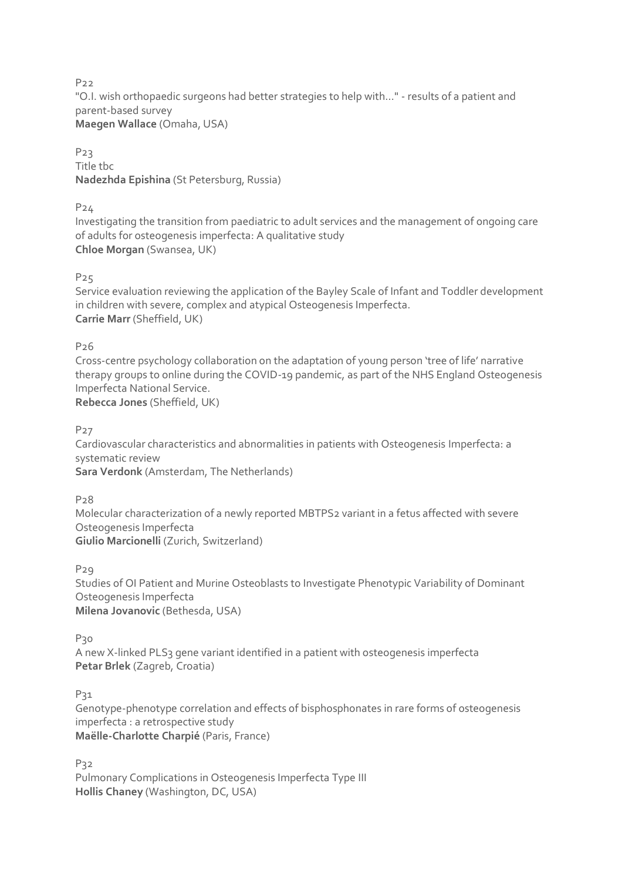P22 "O.I. wish orthopaedic surgeons had better strategies to help with…" - results of a patient and parent-based survey **Maegen Wallace** (Omaha, USA)

P23 Title tbc **Nadezhda Epishina** (St Petersburg, Russia)

P24

Investigating the transition from paediatric to adult services and the management of ongoing care of adults for osteogenesis imperfecta: A qualitative study **Chloe Morgan** (Swansea, UK)

P25

Service evaluation reviewing the application of the Bayley Scale of Infant and Toddler development in children with severe, complex and atypical Osteogenesis Imperfecta. **Carrie Marr** (Sheffield, UK)

P26

Cross-centre psychology collaboration on the adaptation of young person 'tree of life' narrative therapy groups to online during the COVID-19 pandemic, as part of the NHS England Osteogenesis Imperfecta National Service.

**Rebecca Jones** (Sheffield, UK)

P27

Cardiovascular characteristics and abnormalities in patients with Osteogenesis Imperfecta: a systematic review **Sara Verdonk** (Amsterdam, The Netherlands)

P28

Molecular characterization of a newly reported MBTPS2 variant in a fetus affected with severe Osteogenesis Imperfecta **Giulio Marcionelli** (Zurich, Switzerland)

P29

Studies of OI Patient and Murine Osteoblasts to Investigate Phenotypic Variability of Dominant Osteogenesis Imperfecta **Milena Jovanovic** (Bethesda, USA)

P<sub>30</sub>

A new X-linked PLS3 gene variant identified in a patient with osteogenesis imperfecta **Petar Brlek** (Zagreb, Croatia)

 $P<sub>31</sub>$ 

Genotype-phenotype correlation and effects of bisphosphonates in rare forms of osteogenesis imperfecta : a retrospective study **Maëlle-Charlotte Charpié** (Paris, France)

P32 Pulmonary Complications in Osteogenesis Imperfecta Type III **Hollis Chaney** (Washington, DC, USA)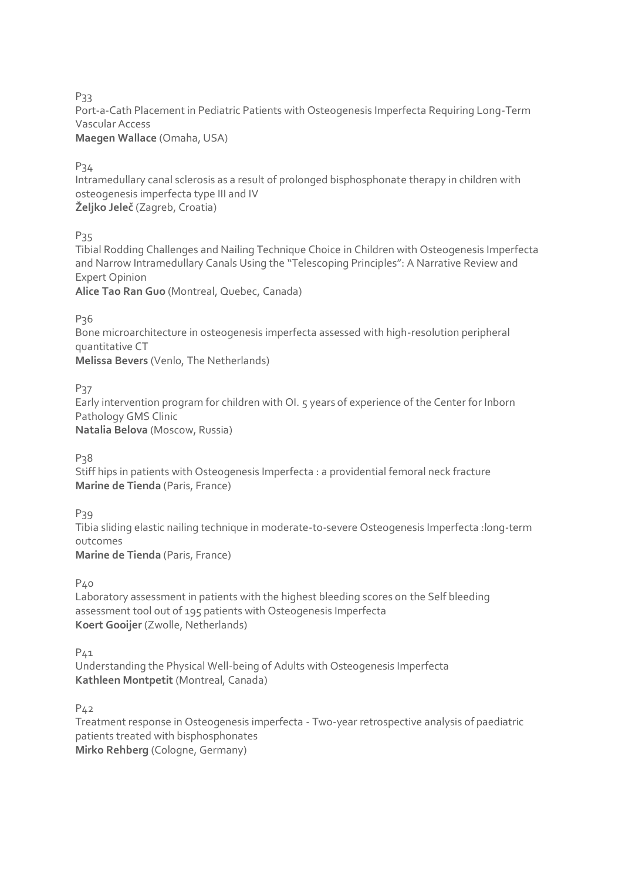Port-a-Cath Placement in Pediatric Patients with Osteogenesis Imperfecta Requiring Long-Term Vascular Access

**Maegen Wallace** (Omaha, USA)

P34

Intramedullary canal sclerosis as a result of prolonged bisphosphonate therapy in children with osteogenesis imperfecta type III and IV **Željko Jeleč** (Zagreb, Croatia)

P<sub>35</sub>

Tibial Rodding Challenges and Nailing Technique Choice in Children with Osteogenesis Imperfecta and Narrow Intramedullary Canals Using the "Telescoping Principles": A Narrative Review and Expert Opinion

**Alice Tao Ran Guo** (Montreal, Quebec, Canada)

P<sub>36</sub>

Bone microarchitecture in osteogenesis imperfecta assessed with high-resolution peripheral quantitative CT **Melissa Bevers** (Venlo, The Netherlands)

P37

Early intervention program for children with OI. 5 years of experience of the Center for Inborn Pathology GMS Clinic **Natalia Belova** (Moscow, Russia)

P<sub>3</sub>8

Stiff hips in patients with Osteogenesis Imperfecta : a providential femoral neck fracture **Marine de Tienda** (Paris, France)

P<sub>39</sub>

Tibia sliding elastic nailing technique in moderate-to-severe Osteogenesis Imperfecta :long-term outcomes **Marine de Tienda** (Paris, France)

P40

Laboratory assessment in patients with the highest bleeding scores on the Self bleeding assessment tool out of 195 patients with Osteogenesis Imperfecta **Koert Gooijer** (Zwolle, Netherlands)

 $P_{41}$ 

Understanding the Physical Well-being of Adults with Osteogenesis Imperfecta **Kathleen Montpetit** (Montreal, Canada)

P42

Treatment response in Osteogenesis imperfecta - Two-year retrospective analysis of paediatric patients treated with bisphosphonates **Mirko Rehberg** (Cologne, Germany)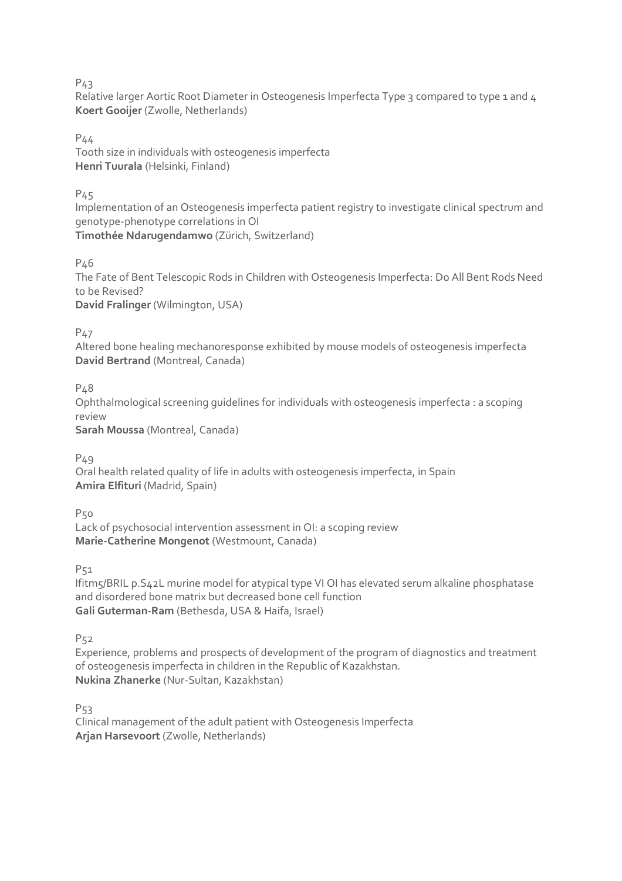Relative larger Aortic Root Diameter in Osteogenesis Imperfecta Type 3 compared to type 1 and 4 **Koert Gooijer** (Zwolle, Netherlands)

P44

Tooth size in individuals with osteogenesis imperfecta **Henri Tuurala** (Helsinki, Finland)

P45

Implementation of an Osteogenesis imperfecta patient registry to investigate clinical spectrum and genotype-phenotype correlations in OI **Timothée Ndarugendamwo** (Zürich, Switzerland)

P46

The Fate of Bent Telescopic Rods in Children with Osteogenesis Imperfecta: Do All Bent Rods Need to be Revised? **David Fralinger** (Wilmington, USA)

P47

Altered bone healing mechanoresponse exhibited by mouse models of osteogenesis imperfecta **David Bertrand** (Montreal, Canada)

P<sub>48</sub>

Ophthalmological screening guidelines for individuals with osteogenesis imperfecta : a scoping review

**Sarah Moussa** (Montreal, Canada)

P49

Oral health related quality of life in adults with osteogenesis imperfecta, in Spain **Amira Elfituri** (Madrid, Spain)

P<sub>50</sub>

Lack of psychosocial intervention assessment in OI: a scoping review **Marie-Catherine Mongenot** (Westmount, Canada)

P<sub>51</sub>

Ifitm5/BRIL p.S42L murine model for atypical type VI OI has elevated serum alkaline phosphatase and disordered bone matrix but decreased bone cell function **Gali Guterman-Ram** (Bethesda, USA & Haifa, Israel)

P<sub>52</sub>

Experience, problems and prospects of development of the program of diagnostics and treatment of osteogenesis imperfecta in children in the Republic of Kazakhstan. **Nukina Zhanerke** (Nur-Sultan, Kazakhstan)

P53

Clinical management of the adult patient with Osteogenesis Imperfecta **Arjan Harsevoort** (Zwolle, Netherlands)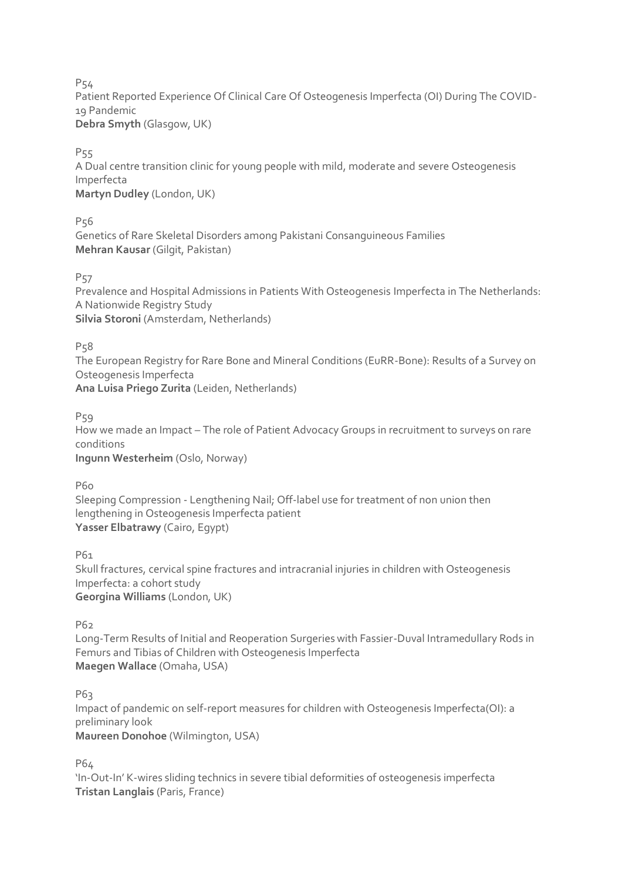Patient Reported Experience Of Clinical Care Of Osteogenesis Imperfecta (OI) During The COVID-19 Pandemic **Debra Smyth** (Glasgow, UK)

P<sub>55</sub>

A Dual centre transition clinic for young people with mild, moderate and severe Osteogenesis Imperfecta **Martyn Dudley** (London, UK)

P56

Genetics of Rare Skeletal Disorders among Pakistani Consanguineous Families **Mehran Kausar** (Gilgit, Pakistan)

P57

Prevalence and Hospital Admissions in Patients With Osteogenesis Imperfecta in The Netherlands: A Nationwide Registry Study **Silvia Storoni** (Amsterdam, Netherlands)

P58

The European Registry for Rare Bone and Mineral Conditions (EuRR-Bone): Results of a Survey on Osteogenesis Imperfecta **Ana Luisa Priego Zurita** (Leiden, Netherlands)

P<sub>59</sub>

How we made an Impact – The role of Patient Advocacy Groups in recruitment to surveys on rare conditions **Ingunn Westerheim** (Oslo, Norway)

P60

Sleeping Compression - Lengthening Nail; Off-label use for treatment of non union then lengthening in Osteogenesis Imperfecta patient **Yasser Elbatrawy** (Cairo, Egypt)

P61

Skull fractures, cervical spine fractures and intracranial injuries in children with Osteogenesis Imperfecta: a cohort study **Georgina Williams** (London, UK)

P62

Long-Term Results of Initial and Reoperation Surgeries with Fassier-Duval Intramedullary Rods in Femurs and Tibias of Children with Osteogenesis Imperfecta **Maegen Wallace** (Omaha, USA)

P63

Impact of pandemic on self-report measures for children with Osteogenesis Imperfecta(OI): a preliminary look **Maureen Donohoe** (Wilmington, USA)

P64

'In-Out-In' K-wires sliding technics in severe tibial deformities of osteogenesis imperfecta **Tristan Langlais** (Paris, France)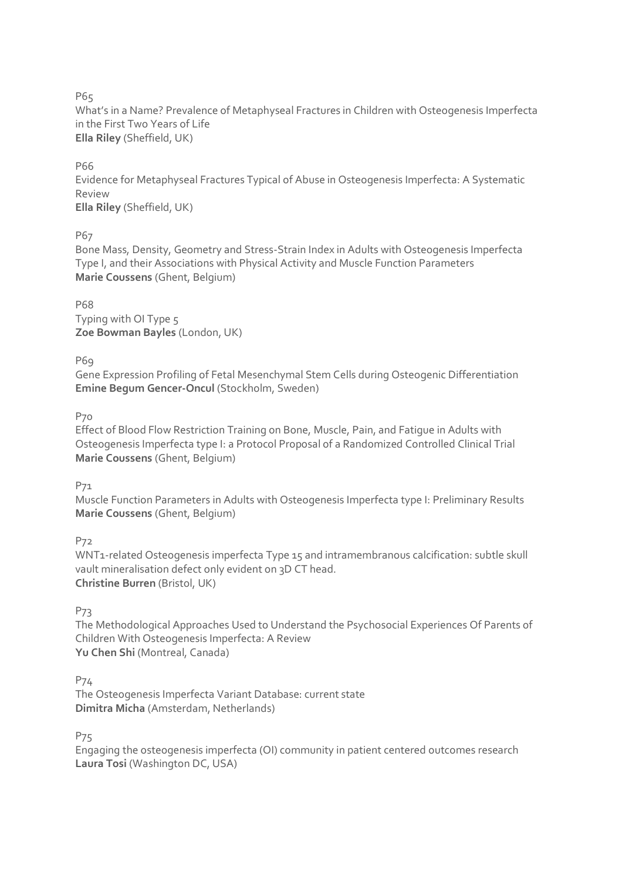What's in a Name? Prevalence of Metaphyseal Fractures in Children with Osteogenesis Imperfecta in the First Two Years of Life **Ella Riley** (Sheffield, UK)

P66

Evidence for Metaphyseal Fractures Typical of Abuse in Osteogenesis Imperfecta: A Systematic Review **Ella Riley** (Sheffield, UK)

P67

Bone Mass, Density, Geometry and Stress-Strain Index in Adults with Osteogenesis Imperfecta Type I, and their Associations with Physical Activity and Muscle Function Parameters **Marie Coussens** (Ghent, Belgium)

P68 Typing with OI Type 5 **Zoe Bowman Bayles** (London, UK)

P69

Gene Expression Profiling of Fetal Mesenchymal Stem Cells during Osteogenic Differentiation **Emine Begum Gencer-Oncul** (Stockholm, Sweden)

P70

Effect of Blood Flow Restriction Training on Bone, Muscle, Pain, and Fatigue in Adults with Osteogenesis Imperfecta type I: a Protocol Proposal of a Randomized Controlled Clinical Trial **Marie Coussens** (Ghent, Belgium)

P71

Muscle Function Parameters in Adults with Osteogenesis Imperfecta type I: Preliminary Results **Marie Coussens** (Ghent, Belgium)

P72

WNT1-related Osteogenesis imperfecta Type 15 and intramembranous calcification: subtle skull vault mineralisation defect only evident on 3D CT head. **Christine Burren** (Bristol, UK)

P73

The Methodological Approaches Used to Understand the Psychosocial Experiences Of Parents of Children With Osteogenesis Imperfecta: A Review **Yu Chen Shi** (Montreal, Canada)

P74

The Osteogenesis Imperfecta Variant Database: current state **Dimitra Micha** (Amsterdam, Netherlands)

P75

Engaging the osteogenesis imperfecta (OI) community in patient centered outcomes research **Laura Tosi** (Washington DC, USA)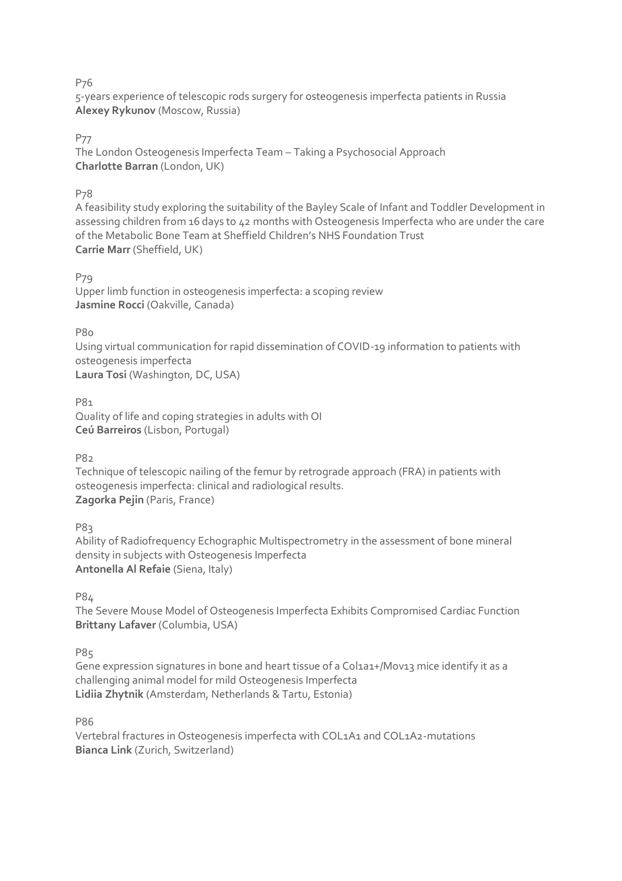5-years experience of telescopic rods surgery for osteogenesis imperfecta patients in Russia **Alexey Rykunov** (Moscow, Russia)

### P77

The London Osteogenesis Imperfecta Team – Taking a Psychosocial Approach **Charlotte Barran** (London, UK)

### P78

A feasibility study exploring the suitability of the Bayley Scale of Infant and Toddler Development in assessing children from 16 days to 42 months with Osteogenesis Imperfecta who are under the care of the Metabolic Bone Team at Sheffield Children's NHS Foundation Trust **Carrie Marr** (Sheffield, UK)

#### P79

Upper limb function in osteogenesis imperfecta: a scoping review **Jasmine Rocci** (Oakville, Canada)

**P80** 

Using virtual communication for rapid dissemination of COVID-19 information to patients with osteogenesis imperfecta **Laura Tosi** (Washington, DC, USA)

P81 Quality of life and coping strategies in adults with OI **Ceú Barreiros** (Lisbon, Portugal)

P8<sub>2</sub>

Technique of telescopic nailing of the femur by retrograde approach (FRA) in patients with osteogenesis imperfecta: clinical and radiological results. **Zagorka Pejin** (Paris, France)

P<sub>83</sub>

Ability of Radiofrequency Echographic Multispectrometry in the assessment of bone mineral density in subjects with Osteogenesis Imperfecta **Antonella Al Refaie** (Siena, Italy)

P84

The Severe Mouse Model of Osteogenesis Imperfecta Exhibits Compromised Cardiac Function **Brittany Lafaver** (Columbia, USA)

P85

Gene expression signatures in bone and heart tissue of a Col1a1+/Mov13 mice identify it as a challenging animal model for mild Osteogenesis Imperfecta **Lidiia Zhytnik** (Amsterdam, Netherlands & Tartu, Estonia)

P86

Vertebral fractures in Osteogenesis imperfecta with COL1A1 and COL1A2-mutations **Bianca Link** (Zurich, Switzerland)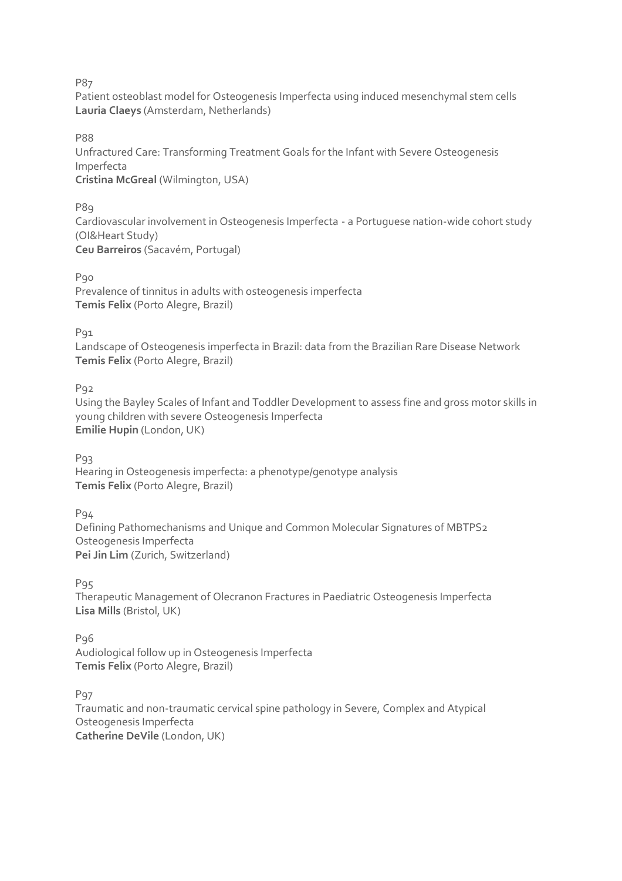Patient osteoblast model for Osteogenesis Imperfecta using induced mesenchymal stem cells **Lauria Claeys** (Amsterdam, Netherlands)

P88

Unfractured Care: Transforming Treatment Goals for the Infant with Severe Osteogenesis Imperfecta **Cristina McGreal** (Wilmington, USA)

P<sub>89</sub>

Cardiovascular involvement in Osteogenesis Imperfecta - a Portuguese nation-wide cohort study (OI&Heart Study) **Ceu Barreiros** (Sacavém, Portugal)

Pgo

Prevalence of tinnitus in adults with osteogenesis imperfecta **Temis Felix** (Porto Alegre, Brazil)

P<sub>91</sub>

Landscape of Osteogenesis imperfecta in Brazil: data from the Brazilian Rare Disease Network **Temis Felix** (Porto Alegre, Brazil)

P92

Using the Bayley Scales of Infant and Toddler Development to assess fine and gross motor skills in young children with severe Osteogenesis Imperfecta **Emilie Hupin** (London, UK)

P93

Hearing in Osteogenesis imperfecta: a phenotype/genotype analysis **Temis Felix** (Porto Alegre, Brazil)

P94 Defining Pathomechanisms and Unique and Common Molecular Signatures of MBTPS2 Osteogenesis Imperfecta **Pei Jin Lim** (Zurich, Switzerland)

P<sub>95</sub>

Therapeutic Management of Olecranon Fractures in Paediatric Osteogenesis Imperfecta **Lisa Mills** (Bristol, UK)

P<sub>96</sub> Audiological follow up in Osteogenesis Imperfecta **Temis Felix** (Porto Alegre, Brazil)

P<sub>97</sub>

Traumatic and non-traumatic cervical spine pathology in Severe, Complex and Atypical Osteogenesis Imperfecta **Catherine DeVile** (London, UK)